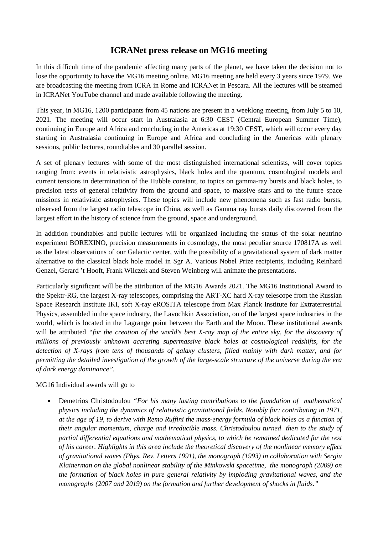## **ICRANet press release on MG16 meeting**

In this difficult time of the pandemic affecting many parts of the planet, we have taken the decision not to lose the opportunity to have the MG16 meeting online. MG16 meeting are held every 3 years since 1979. We are broadcasting the meeting from ICRA in Rome and ICRANet in Pescara. All the lectures will be steamed in ICRANet YouTube channel and made available following the meeting.

This year, in MG16, 1200 participants from 45 nations are present in a weeklong meeting, from July 5 to 10, 2021. The meeting will occur start in Australasia at 6:30 CEST (Central European Summer Time), continuing in Europe and Africa and concluding in the Americas at 19:30 CEST, which will occur every day starting in Australasia continuing in Europe and Africa and concluding in the Americas with plenary sessions, public lectures, roundtables and 30 parallel session.

A set of plenary lectures with some of the most distinguished international scientists, will cover topics ranging from: events in relativistic astrophysics, black holes and the quantum, cosmological models and current tensions in determination of the Hubble constant, to topics on gamma-ray bursts and black holes, to precision tests of general relativity from the ground and space, to massive stars and to the future space missions in relativistic astrophysics. These topics will include new phenomena such as fast radio bursts, observed from the largest radio telescope in China, as well as Gamma ray bursts daily discovered from the largest effort in the history of science from the ground, space and underground.

In addition roundtables and public lectures will be organized including the status of the solar neutrino experiment BOREXINO, precision measurements in cosmology, the most peculiar source 170817A as well as the latest observations of our Galactic center, with the possibility of a gravitational system of dark matter alternative to the classical black hole model in Sgr A. Various Nobel Prize recipients, including Reinhard Genzel, Gerard 't Hooft, Frank Wilczek and Steven Weinberg will animate the presentations.

Particularly significant will be the attribution of the MG16 Awards 2021. The MG16 Institutional Award to the Spektr-RG, the largest X-ray telescopes, comprising the ART-XC hard X-ray telescope from the Russian Space Research Institute IKI, soft X-ray eROSITA telescope from Max Planck Institute for Extraterrestrial Physics, assembled in the space industry, the Lavochkin Association, on of the largest space industries in the world, which is located in the Lagrange point between the Earth and the Moon. These institutional awards will be attributed "for the creation of the world's best X-ray map of the entire sky, for the discovery of *millions of previously unknown accreting supermassive black holes at cosmological redshifts, for the detection of X-rays from tens of thousands of galaxy clusters, filled mainly with dark matter, and for permitting the detailed investigation of the growth of the large-scale structure of the universe during the era of dark energy dominance".*

## MG16 Individual awards will go to

• Demetrios Christodoulou *"For his many lasting contributions to the foundation of mathematical physics including the dynamics of relativistic gravitational fields. Notably for: contributing in 1971, at the age of 19, to derive with Remo Ruffini the mass-energy formula of black holes as a function of their angular momentum, charge and irreducible mass. Christodoulou turned then to the study of partial differential equations and mathematical physics, to which he remained dedicated for the rest of his career. Highlights in this area include the theoretical discovery of the nonlinear memory effect of gravitational waves (Phys. Rev. Letters 1991), the monograph (1993) in collaboration with Sergiu Klainerman on the global nonlinear stability of the Minkowski spacetime, the monograph (2009) on the formation of black holes in pure general relativity by imploding gravitational waves, and the monographs (2007 and 2019) on the formation and further development of shocks in fluids."*